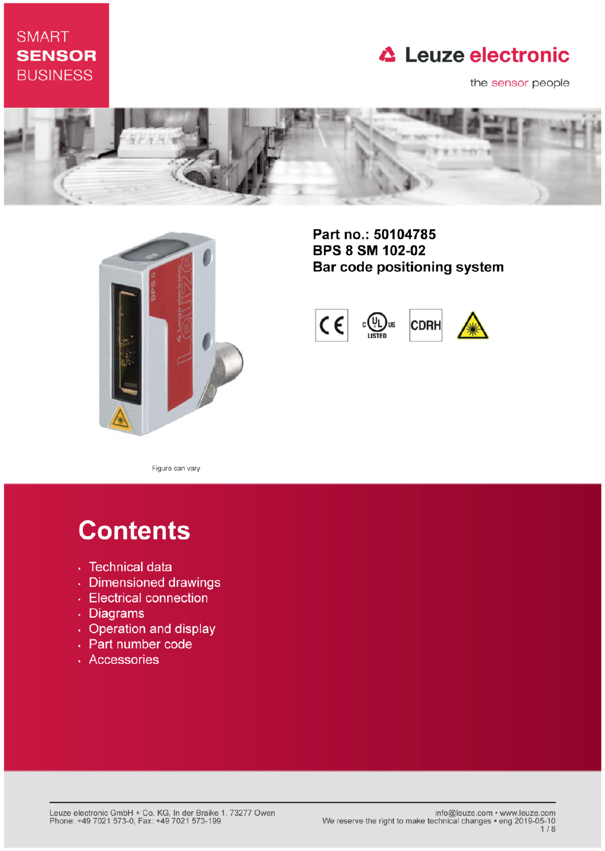## **SMART SENSOR BUSINESS**

## **△ Leuze electronic**

the sensor people





Part no.: 50104785 **BPS 8 SM 102-02** Bar code positioning system



Figure can vary

# **Contents**

- · Technical data
- · Dimensioned drawings
- Electrical connection
- . Diagrams
- Operation and display
- Part number code
- · Accessories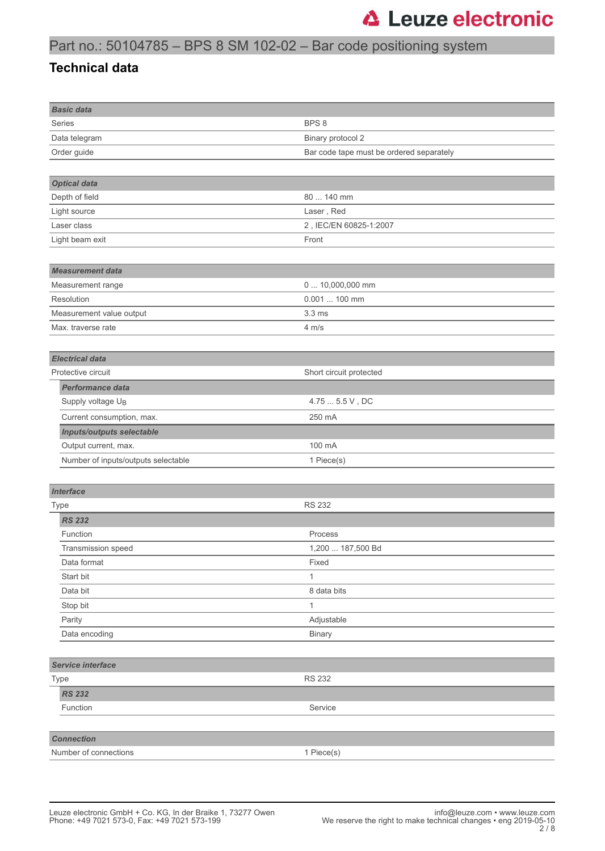## Part no.: 50104785 – BPS 8 SM 102-02 – Bar code positioning system

#### **Technical data**

| <b>Basic data</b>                   |                                          |
|-------------------------------------|------------------------------------------|
| <b>Series</b>                       | BPS <sub>8</sub>                         |
| Data telegram                       | Binary protocol 2                        |
| Order guide                         | Bar code tape must be ordered separately |
|                                     |                                          |
| <b>Optical data</b>                 |                                          |
| Depth of field                      | 80  140 mm                               |
| Light source                        | Laser, Red                               |
| Laser class                         | 2, IEC/EN 60825-1:2007                   |
| Light beam exit                     | Front                                    |
|                                     |                                          |
| <b>Measurement data</b>             |                                          |
| Measurement range                   | 0  10,000,000 mm                         |
| Resolution                          | 0.001  100 mm                            |
| Measurement value output            | 3.3 <sub>ms</sub>                        |
| Max. traverse rate                  | $4 \, \text{m/s}$                        |
|                                     |                                          |
| <b>Electrical data</b>              |                                          |
| Protective circuit                  | Short circuit protected                  |
| <b>Performance data</b>             |                                          |
| Supply voltage U <sub>B</sub>       | 4.75  5.5 V, DC                          |
| Current consumption, max.           | 250 mA                                   |
| <b>Inputs/outputs selectable</b>    |                                          |
| Output current, max.                | 100 mA                                   |
| Number of inputs/outputs selectable | 1 Piece(s)                               |
|                                     |                                          |
| <b>Interface</b>                    |                                          |
| <b>Type</b>                         | <b>RS 232</b>                            |
| <b>RS 232</b>                       |                                          |
| Function                            | Process                                  |
| Transmission speed                  | 1,200  187,500 Bd                        |
| Data format                         | Fixed                                    |
| Start bit                           | 1                                        |
| Data bit                            | 8 data bits                              |
| Stop bit                            | 1                                        |
| Parity                              | Adjustable                               |
| Data encoding                       | <b>Binary</b>                            |
|                                     |                                          |
| Service interface                   |                                          |
| Type                                | <b>RS 232</b>                            |
| <b>RS 232</b>                       |                                          |
| Function                            | Service                                  |
|                                     |                                          |
| <b>Connection</b>                   |                                          |
| Number of connections               | 1 Piece(s)                               |
|                                     |                                          |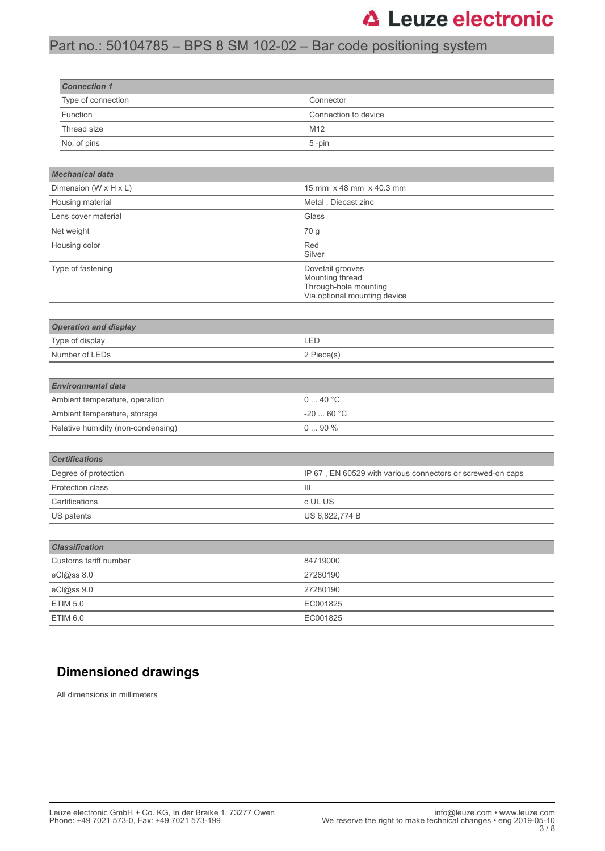## Part no.: 50104785 – BPS 8 SM 102-02 – Bar code positioning system

| <b>Connection 1</b>                |                                                                                              |
|------------------------------------|----------------------------------------------------------------------------------------------|
| Type of connection                 | Connector                                                                                    |
| Function                           | Connection to device                                                                         |
| Thread size                        | M12                                                                                          |
| No. of pins                        | 5-pin                                                                                        |
|                                    |                                                                                              |
| <b>Mechanical data</b>             |                                                                                              |
| Dimension (W x H x L)              | 15 mm x 48 mm x 40.3 mm                                                                      |
| Housing material                   | Metal, Diecast zinc                                                                          |
| Lens cover material                | Glass                                                                                        |
| Net weight                         | 70 g                                                                                         |
| Housing color                      | Red<br>Silver                                                                                |
| Type of fastening                  | Dovetail grooves<br>Mounting thread<br>Through-hole mounting<br>Via optional mounting device |
| <b>Operation and display</b>       |                                                                                              |
| Type of display                    | LED                                                                                          |
| Number of LEDs                     | 2 Piece(s)                                                                                   |
|                                    |                                                                                              |
| <b>Environmental data</b>          |                                                                                              |
| Ambient temperature, operation     | 040 °C                                                                                       |
| Ambient temperature, storage       | $-2060 °C$                                                                                   |
| Relative humidity (non-condensing) | 090%                                                                                         |
|                                    |                                                                                              |
| <b>Certifications</b>              |                                                                                              |
| Degree of protection               | IP 67, EN 60529 with various connectors or screwed-on caps                                   |
| Protection class                   | $\vert\vert\vert$                                                                            |
| Certifications                     | c UL US                                                                                      |
| US patents                         | US 6,822,774 B                                                                               |
|                                    |                                                                                              |
| <b>Classification</b>              |                                                                                              |
| Customs tariff number              | 84719000                                                                                     |
| eCl@ss 8.0                         | 27280190                                                                                     |
| eCl@ss 9.0                         | 27280190                                                                                     |
| <b>ETIM 5.0</b>                    | EC001825                                                                                     |
| <b>ETIM 6.0</b>                    | EC001825                                                                                     |

### **Dimensioned drawings**

All dimensions in millimeters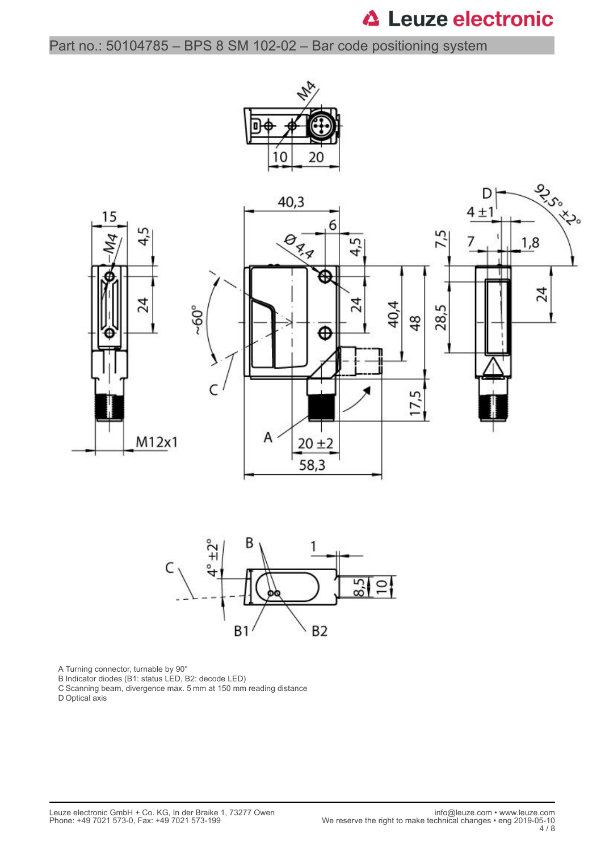Part no.: 50104785 – BPS 8 SM 102-02 – Bar code positioning system





A Turning connector, turnable by 90°

B Indicator diodes (B1: status LED, B2: decode LED)

C Scanning beam, divergence max. 5 mm at 150 mm reading distance

D Optical axis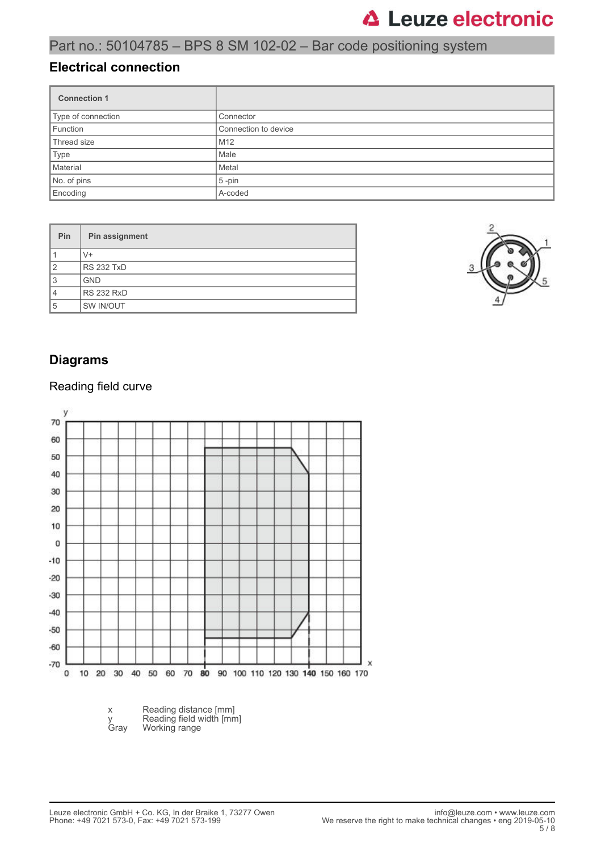### Part no.: 50104785 – BPS 8 SM 102-02 – Bar code positioning system

#### **Electrical connection**

| <b>Connection 1</b> |                      |
|---------------------|----------------------|
| Type of connection  | Connector            |
| Function            | Connection to device |
| Thread size         | M <sub>12</sub>      |
| Type                | Male                 |
| Material            | Metal                |
| No. of pins         | $5$ -pin             |
| Encoding            | A-coded              |

| Pin            | Pin assignment    |
|----------------|-------------------|
|                | V+                |
| $\overline{2}$ | <b>RS 232 TxD</b> |
| 3              | <b>GND</b>        |
| 4              | <b>RS 232 RxD</b> |
| 5              | SW IN/OUT         |



#### **Diagrams**

#### Reading field curve

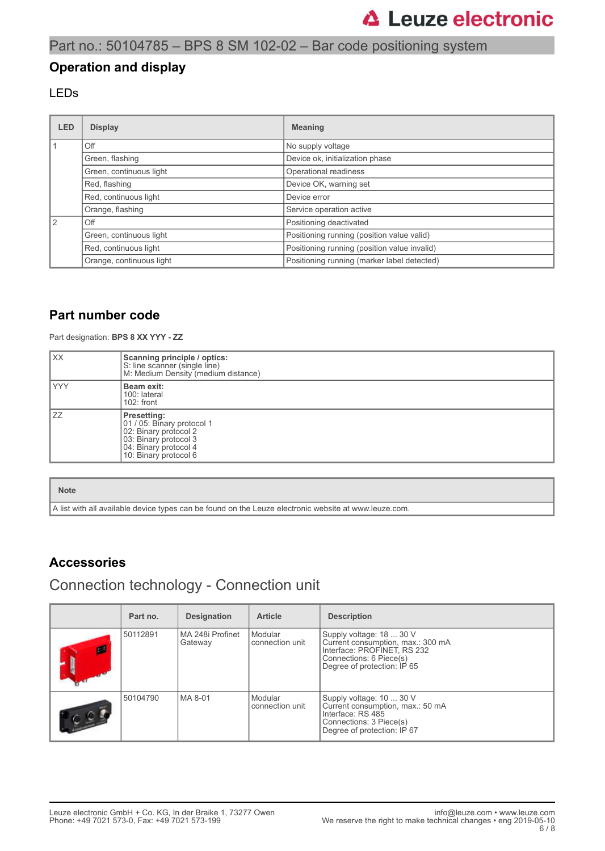### Part no.: 50104785 – BPS 8 SM 102-02 – Bar code positioning system

#### **Operation and display**

#### LEDs

| <b>LED</b> | <b>Display</b>           | <b>Meaning</b>                               |
|------------|--------------------------|----------------------------------------------|
|            | Off                      | No supply voltage                            |
|            | Green, flashing          | Device ok, initialization phase              |
|            | Green, continuous light  | Operational readiness                        |
|            | Red, flashing            | Device OK, warning set                       |
|            | Red, continuous light    | Device error                                 |
|            | Orange, flashing         | Service operation active                     |
| 2          | Off                      | Positioning deactivated                      |
|            | Green, continuous light  | Positioning running (position value valid)   |
|            | Red, continuous light    | Positioning running (position value invalid) |
|            | Orange, continuous light | Positioning running (marker label detected)  |

#### **Part number code**

Part designation: **BPS 8 XX YYY - ZZ**

| XX  | Scanning principle / optics:<br>S: line scanner (single line)<br>M: Medium Density (medium distance)                                          |
|-----|-----------------------------------------------------------------------------------------------------------------------------------------------|
| YYY | Beam exit:<br>100: lateral<br>$102:$ front                                                                                                    |
| ZZ  | Presetting:<br>01 / 05: Binary protocol 1<br>02: Binary protocol 2<br>03: Binary protocol 3<br>04: Binary protocol 4<br>10: Binary protocol 6 |

#### **Note**

A list with all available device types can be found on the Leuze electronic website at www.leuze.com.

#### **Accessories**

### Connection technology - Connection unit

| Part no. | <b>Designation</b>            | <b>Article</b>             | <b>Description</b>                                                                                                                                     |
|----------|-------------------------------|----------------------------|--------------------------------------------------------------------------------------------------------------------------------------------------------|
| 50112891 | l MA 248i Profinet<br>Gateway | Modular<br>connection unit | Supply voltage: 18  30 V<br>Current consumption, max.: 300 mA<br>Interface: PROFINET, RS 232<br>Connections: 6 Piece(s)<br>Degree of protection: IP 65 |
| 50104790 | l MA 8-01                     | Modular<br>connection unit | Supply voltage: 10  30 V<br>Current consumption, max.: 50 mA<br>Interface: RS 485<br>Connections: 3 Piece(s)<br>Degree of protection: IP 67            |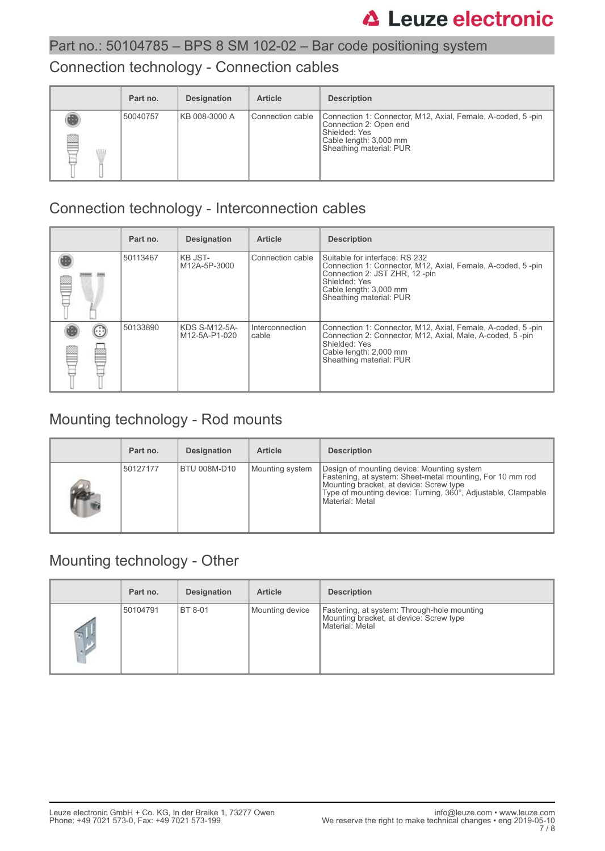### Part no.: 50104785 – BPS 8 SM 102-02 – Bar code positioning system

### Connection technology - Connection cables

|        | Part no. | <b>Designation</b> | <b>Article</b>     | <b>Description</b>                                                                                                                                          |
|--------|----------|--------------------|--------------------|-------------------------------------------------------------------------------------------------------------------------------------------------------------|
| œ<br>W | 50040757 | KB 008-3000 A      | l Connection cable | Connection 1: Connector, M12, Axial, Female, A-coded, 5-pin<br>Connection 2: Open end<br>Shielded: Yes<br>Cable length: 3,000 mm<br>Sheathing material: PUR |

## Connection technology - Interconnection cables

|   | Part no. | <b>Designation</b>             | <b>Article</b>           | <b>Description</b>                                                                                                                                                                                    |
|---|----------|--------------------------------|--------------------------|-------------------------------------------------------------------------------------------------------------------------------------------------------------------------------------------------------|
|   | 50113467 | KB JST-<br>M12A-5P-3000        | Connection cable         | Suitable for interface: RS 232<br>Connection 1: Connector, M12, Axial, Female, A-coded, 5-pin<br>Connection 2: JST ZHR, 12 -pin<br>Shielded: Yes<br>Cable length: 3,000 mm<br>Sheathing material: PUR |
| E | 50133890 | KDS S-M12-5A-<br>M12-5A-P1-020 | Interconnection<br>cable | Connection 1: Connector, M12, Axial, Female, A-coded, 5-pin<br>Connection 2: Connector, M12, Axial, Male, A-coded, 5-pin<br>Shielded: Yes<br>Cable length: 2,000 mm<br>Sheathing material: PUR        |

## Mounting technology - Rod mounts

| Part no. | <b>Designation</b> | <b>Article</b>  | <b>Description</b>                                                                                                                                                                                                                     |
|----------|--------------------|-----------------|----------------------------------------------------------------------------------------------------------------------------------------------------------------------------------------------------------------------------------------|
| 50127177 | BTU 008M-D10       | Mounting system | Design of mounting device: Mounting system<br>Fastening, at system: Sheet-metal mounting, For 10 mm rod<br>Mounting bracket, at device: Screw type<br>Type of mounting device: Turning, 360°, Adjustable, Clampable<br>Material: Metal |

## Mounting technology - Other

|     | Part no. | <b>Designation</b> | <b>Article</b>  | <b>Description</b>                                                                                        |
|-----|----------|--------------------|-----------------|-----------------------------------------------------------------------------------------------------------|
| 515 | 50104791 | <b>BT 8-01</b>     | Mounting device | Fastening, at system: Through-hole mounting<br>Mounting bracket, at device: Screw type<br>Material: Metal |